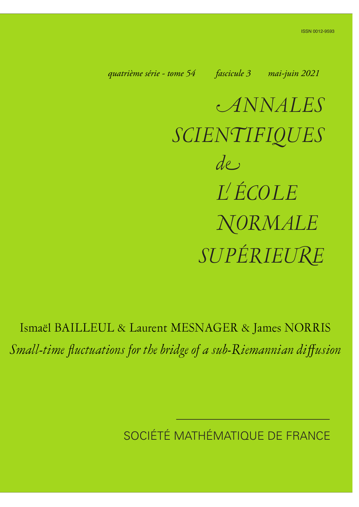<span id="page-0-0"></span>*quatrième série - tome 54 fascicule 3 mai-juin 2021*

a*NNALES SCIEN*n*IFIQUES SUPÉRIEU*k*<sup>E</sup> de L ÉCOLE* h*ORMALE*

Ismaël BAILLEUL & Laurent MESNAGER & James NORRIS *Small-time fluctuations for the bridge of a sub-Riemannian diffusion*

SOCIÉTÉ MATHÉMATIQUE DE FRANCE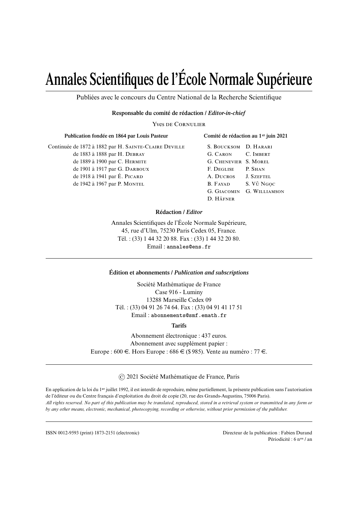# **Annales Scientifiques de l'École Normale Supérieure**

Publiées avec le concours du Centre National de la Recherche Scientifique

#### **Responsable du comité de rédaction /** *Editor-in-chief*

**YVES DE CORNULIER** 

| Publication fondée en 1864 par Louis Pasteur          |  |
|-------------------------------------------------------|--|
| Continuée de 1872 à 1882 par H. SAINTE-CLAIRE DEVILLE |  |
| de 1883 à 1888 par H. DEBRAY                          |  |
| de 1889 à 1900 par C. HERMITE                         |  |
| de 1901 à 1917 par G. DARBOUX                         |  |
| de 1918 à 1941 par É. PICARD                          |  |
| de 1942 à 1967 par P. MONTEL                          |  |

| S. BOUCKSOM D. HARARI |                      |
|-----------------------|----------------------|
| G. CARON              | C. IMBERT            |
| <b>G. CHENEVIER</b>   | S. MOREL             |
| F. DEGLISE            | P. SHAN              |
| A. DUCROS             | <b>J. SZEFTEL</b>    |
| <b>B.</b> FAYAD       | S. Vũ Ngọc           |
| G. GIACOMIN           | <b>G. WILLIAMSON</b> |
| D. HÄFNER             |                      |

**Comité de rédaction au 1er juin 2021**

#### **Rédaction /** *Editor*

Annales Scientifiques de l'École Normale Supérieure, 45, rue d'Ulm, 75230 Paris Cedex 05, France. Tél. : (33) 1 44 32 20 88. Fax : (33) 1 44 32 20 80. Email : annales@ens.fr

#### **Édition et abonnements /** *Publication and subscriptions*

Société Mathématique de France Case 916 - Luminy 13288 Marseille Cedex 09 Tél. : (33) 04 91 26 74 64. Fax : (33) 04 91 41 17 51 Email : abonnements@smf.emath.fr

**Tarifs**

Abonnement électronique : 437 euros. Abonnement avec supplément papier : Europe : 600  $\in$ . Hors Europe : 686  $\in$  (\$985). Vente au numéro : 77  $\in$ .

© 2021 Société Mathématique de France, Paris

En application de la loi du 1er juillet 1992, il est interdit de reproduire, même partiellement, la présente publication sans l'autorisation de l'éditeur ou du Centre français d'exploitation du droit de copie (20, rue des Grands-Augustins, 75006 Paris). *All rights reserved. No part of this publication may be translated, reproduced, stored in a retrieval system or transmitted in any form or by any other means, electronic, mechanical, photocopying, recording or otherwise, without prior permission of the publisher.*

ISSN 0012-9593 (print) 1873-2151 (electronic) Directeur de la publication : Fabien Durand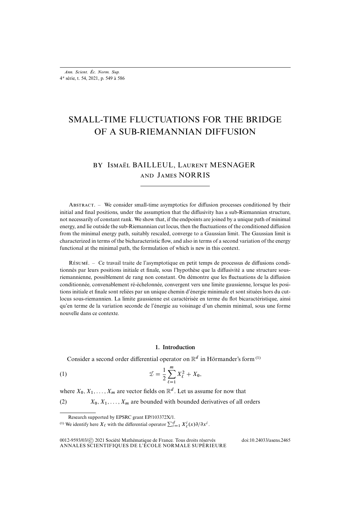## SMALL-TIME FLUCTUATIONS FOR THE BRIDGE OF A SUB-RIEMANNIAN DIFFUSION

### BY ISMAËL BAILLEUL, LAURENT MESNAGER **AND JAMES NORRIS**

ABSTRACT. – We consider small-time asymptotics for diffusion processes conditioned by their initial and final positions, under the assumption that the diffusivity has a sub-Riemannian structure, not necessarily of constant rank. We show that, if the endpoints are joined by a unique path of minimal energy, and lie outside the sub-Riemannian cut locus, then the fluctuations of the conditioned diffusion from the minimal energy path, suitably rescaled, converge to a Gaussian limit. The Gaussian limit is characterized in terms of the bicharacteristic flow, and also in terms of a second variation of the energy functional at the minimal path, the formulation of which is new in this context.

Résumé. – Ce travail traite de l'asymptotique en petit temps de processus de diffusions conditionnés par leurs positions initiale et finale, sous l'hypothèse que la diffusivité a une structure sousriemannienne, possiblement de rang non constant. On démontre que les fluctuations de la diffusion conditionnée, convenablement ré-échelonnée, convergent vers une limite gaussienne, lorsque les positions initiale et finale sont reliées par un unique chemin d'énergie minimale et sont situées hors du cutlocus sous-riemannien. La limite gaussienne est caractérisée en terme du flot bicaractéristique, ainsi qu'en terme de la variation seconde de l'énergie au voisinage d'un chemin minimal, sous une forme nouvelle dans ce contexte.

#### <span id="page-2-1"></span>**1. Introduction**

Consider a second order differential operator on  $\mathbb{R}^d$  in Hörmander's form<sup>[\(1\)](#page-2-0)</sup>

(1) 
$$
\mathcal{I} = \frac{1}{2} \sum_{\ell=1}^{m} X_{\ell}^{2} + X_{0},
$$

where  $X_0, X_1, \ldots, X_m$  are vector fields on  $\mathbb{R}^d$ . Let us assume for now that

<span id="page-2-2"></span>(2)  $X_0, X_1, \ldots, X_m$  are bounded with bounded derivatives of all orders

<span id="page-2-0"></span>Research supported by EPSRC grant EP/103372X/1. <sup>(1)</sup> We identify here  $X_\ell$  with the differential operator  $\sum_{i=1}^d X_\ell^i(x)\partial/\partial x^i$ .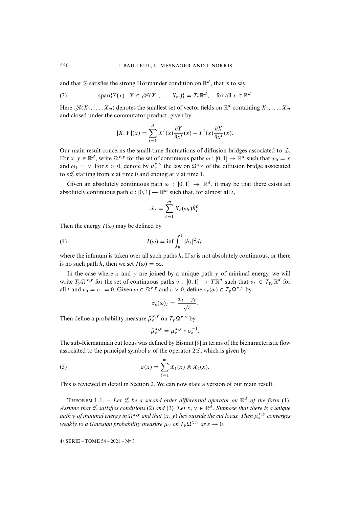and that  ${\mathcal{I}}$  satisfies the strong Hörmander condition on  ${\mathbb R}^d$ , that is to say,

<span id="page-3-0"></span>(3) 
$$
\text{span}\{Y(x): Y \in \mathcal{A}(X_1,\ldots,X_m)\} = T_x \mathbb{R}^d, \text{ for all } x \in \mathbb{R}^d.
$$

Here  $\mathcal{K}(X_1,\ldots,X_m)$  denotes the smallest set of vector fields on  $\mathbb{R}^d$  containing  $X_1,\ldots,X_m$ and closed under the commutator product, given by

$$
[X,Y](x) = \sum_{i=1}^{d} X^{i}(x) \frac{\partial Y}{\partial x^{i}}(x) - Y^{i}(x) \frac{\partial X}{\partial x^{i}}(x).
$$

Our main result concerns the small-time fluctuations of diffusion bridges associated to  $\mathcal{I}$ . For  $x, y \in \mathbb{R}^d$ , write  $\Omega^{x,y}$  for the set of continuous paths  $\omega : [0,1] \to \mathbb{R}^d$  such that  $\omega_0 = x$ and  $\omega_1 = y$ . For  $\varepsilon > 0$ , denote by  $\mu_{\varepsilon}^{x,y}$  the law on  $\Omega^{x,y}$  of the diffusion bridge associated to  $\varepsilon \mathcal{I}$  starting from x at time 0 and ending at y at time 1.

Given an absolutely continuous path  $\omega : [0, 1] \rightarrow \mathbb{R}^d$ , it may be that there exists an absolutely continuous path  $h : [0, 1] \to \mathbb{R}^m$  such that, for almost all t,

<span id="page-3-1"></span>
$$
\dot{\omega}_t = \sum_{\ell=1}^m X_\ell(\omega_t) \dot{h}_t^\ell.
$$

Then the energy  $I(\omega)$  may be defined by

(4) 
$$
I(\omega) = \inf \int_0^1 |\dot{h}_t|^2 dt,
$$

where the infimum is taken over all such paths h. If  $\omega$  is not absolutely continuous, or there is no such path h, then we set  $I(\omega) = \infty$ .

In the case where x and y are joined by a unique path  $\gamma$  of minimal energy, we will write  $T_{\gamma} \Omega^{x,y}$  for the set of continuous paths  $v : [0,1] \to T \mathbb{R}^d$  such that  $v_t \in T_{\gamma_t} \mathbb{R}^d$  for all t and  $v_0 = v_1 = 0$ . Given  $\omega \in \Omega^{x,y}$  and  $\varepsilon > 0$ , define  $\sigma_{\varepsilon}(\omega) \in T_{\gamma} \Omega^{x,y}$  by

$$
\sigma_{\varepsilon}(\omega)_t = \frac{\omega_t - \gamma_t}{\sqrt{\varepsilon}}.
$$

Then define a probability measure  $\tilde{\mu}_{\varepsilon}^{x,y}$  on  $T_{\gamma} \Omega^{x,y}$  by

$$
\tilde{\mu}_{\varepsilon}^{x,y} = \mu_{\varepsilon}^{x,y} \circ \sigma_{\varepsilon}^{-1}.
$$

The sub-Riemannian cut locus was defined by Bismut [\[9\]](#page--1-0) in terms of the bicharacteristic flow associated to the principal symbol a of the operator  $2\mathcal{I}$ , which is given by

(5) 
$$
a(x) = \sum_{\ell=1}^{m} X_{\ell}(x) \otimes X_{\ell}(x).
$$

This is reviewed in detail in Section [2.](#page--1-1) We can now state a version of our main result.

**THEOREM** 1.1. – Let  $\mathcal{I}$  be a second order differential operator on  $\mathbb{R}^d$  of the form [\(1\)](#page-2-1). Assume that  $\mathcal I$  satisfies conditions [\(2\)](#page-2-2) and [\(3\)](#page-3-0). Let  $x, y \in \mathbb{R}^d$ . Suppose that there is a unique path  $\gamma$  of minimal energy in  $\Omega^{x,y}$  and that  $(x,y)$  lies outside the cut locus. Then  $\tilde{\mu}^{x,y}_\varepsilon$  converges *weakly to a Gaussian probability measure*  $\mu_{\nu}$  *on*  $T_{\nu} \Omega^{x,y}$  *as*  $\varepsilon \to 0$ *.*